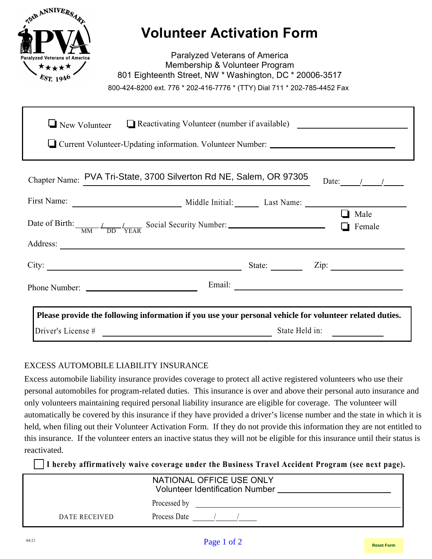|                                      | <b>Volunteer Activation Form</b>                                                                                                  |                |                              |
|--------------------------------------|-----------------------------------------------------------------------------------------------------------------------------------|----------------|------------------------------|
| <b>Paralvzed Veterans of America</b> | <b>Paralyzed Veterans of America</b><br>Membership & Volunteer Program<br>801 Eighteenth Street, NW * Washington, DC * 20006-3517 |                |                              |
|                                      | 800-424-8200 ext. 776 * 202-416-7776 * (TTY) Dial 711 * 202-785-4452 Fax                                                          |                |                              |
| $\Box$ New Volunteer                 | $\Box$ Reactivating Volunteer (number if available) $\Box$                                                                        |                |                              |
|                                      | Current Volunteer-Updating information. Volunteer Number:                                                                         |                |                              |
|                                      |                                                                                                                                   |                |                              |
|                                      | Chapter Name: PVA Tri-State, 3700 Silverton Rd NE, Salem, OR 97305                                                                |                | Date: $1/2$                  |
|                                      |                                                                                                                                   |                |                              |
|                                      | Date of Birth: $\frac{1}{MN} \frac{1}{DD} \frac{1}{YFAR}$ Social Security Number:                                                 |                | $\Box$ Male<br>$\Box$ Female |
|                                      |                                                                                                                                   |                |                              |
|                                      | City: $\frac{\text{City:}}{\text{List:}}$                                                                                         |                |                              |
|                                      |                                                                                                                                   |                |                              |
|                                      |                                                                                                                                   |                |                              |
|                                      | Please provide the following information if you use your personal vehicle for volunteer related duties.                           |                |                              |
| Driver's License #                   |                                                                                                                                   | State Held in: |                              |

### EXCESS AUTOMOBILE LIABILITY INSURANCE

Excess automobile liability insurance provides coverage to protect all active registered volunteers who use their personal automobiles for program-related duties. This insurance is over and above their personal auto insurance and only volunteers maintaining required personal liability insurance are eligible for coverage. The volunteer will automatically be covered by this insurance if they have provided a driver's license number and the state in which it is held, when filing out their Volunteer Activation Form. If they do not provide this information they are not entitled to this insurance. If the volunteer enters an inactive status they will not be eligible for this insurance until their status is reactivated.

**I hereby affirmatively waive coverage under the Business Travel Accident Program (see next page).**

| NATIONAL OFFICE USE ONLY<br><b>Volunteer Identification Number</b> |              |  |
|--------------------------------------------------------------------|--------------|--|
|                                                                    | Processed by |  |
| DATE RECEIVED                                                      | Process Date |  |